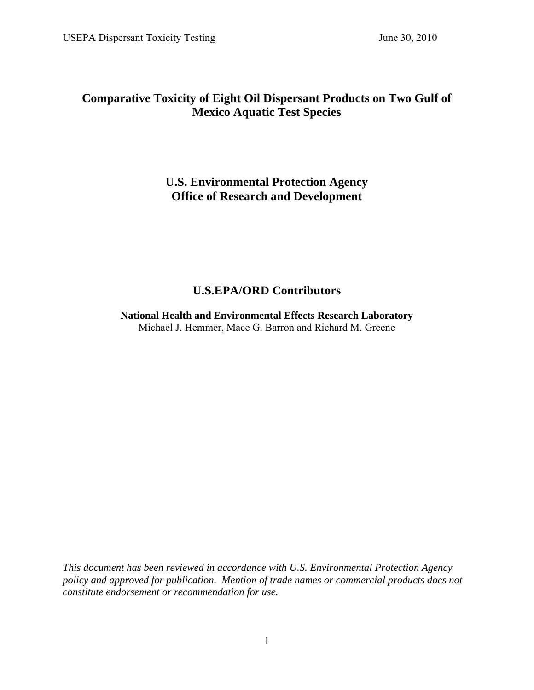# **Comparative Toxicity of Eight Oil Dispersant Products on Two Gulf of Mexico Aquatic Test Species**

# **U.S. Environmental Protection Agency Office of Research and Development**

# **U.S.EPA/ORD Contributors**

**National Health and Environmental Effects Research Laboratory**  Michael J. Hemmer, Mace G. Barron and Richard M. Greene

*This document has been reviewed in accordance with U.S. Environmental Protection Agency policy and approved for publication. Mention of trade names or commercial products does not constitute endorsement or recommendation for use.*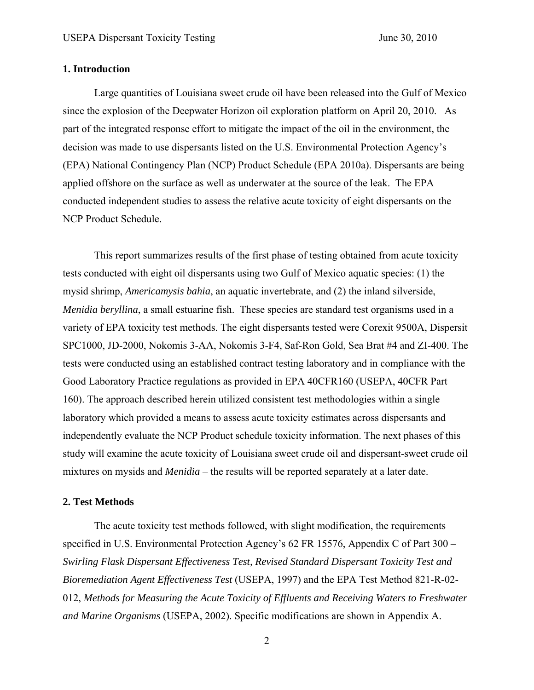#### **1. Introduction**

Large quantities of Louisiana sweet crude oil have been released into the Gulf of Mexico since the explosion of the Deepwater Horizon oil exploration platform on April 20, 2010. As part of the integrated response effort to mitigate the impact of the oil in the environment, the decision was made to use dispersants listed on the U.S. Environmental Protection Agency's (EPA) National Contingency Plan (NCP) Product Schedule (EPA 2010a). Dispersants are being applied offshore on the surface as well as underwater at the source of the leak. The EPA conducted independent studies to assess the relative acute toxicity of eight dispersants on the NCP Product Schedule.

This report summarizes results of the first phase of testing obtained from acute toxicity tests conducted with eight oil dispersants using two Gulf of Mexico aquatic species: (1) the mysid shrimp, *Americamysis bahia*, an aquatic invertebrate, and (2) the inland silverside, *Menidia beryllina*, a small estuarine fish. These species are standard test organisms used in a variety of EPA toxicity test methods. The eight dispersants tested were Corexit 9500A, Dispersit SPC1000, JD-2000, Nokomis 3-AA, Nokomis 3-F4, Saf-Ron Gold, Sea Brat #4 and ZI-400. The tests were conducted using an established contract testing laboratory and in compliance with the Good Laboratory Practice regulations as provided in EPA 40CFR160 (USEPA, 40CFR Part 160). The approach described herein utilized consistent test methodologies within a single laboratory which provided a means to assess acute toxicity estimates across dispersants and independently evaluate the NCP Product schedule toxicity information. The next phases of this study will examine the acute toxicity of Louisiana sweet crude oil and dispersant-sweet crude oil mixtures on mysids and *Menidia* – the results will be reported separately at a later date.

#### **2. Test Methods**

The acute toxicity test methods followed, with slight modification, the requirements specified in U.S. Environmental Protection Agency's 62 FR 15576, Appendix C of Part 300 – *Swirling Flask Dispersant Effectiveness Test, Revised Standard Dispersant Toxicity Test and Bioremediation Agent Effectiveness Test* (USEPA, 1997) and the EPA Test Method 821-R-02- 012, *Methods for Measuring the Acute Toxicity of Effluents and Receiving Waters to Freshwater and Marine Organisms* (USEPA, 2002). Specific modifications are shown in Appendix A.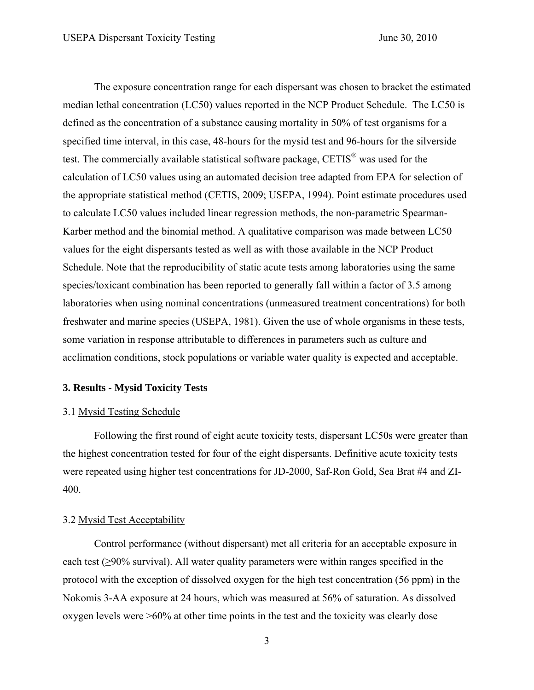The exposure concentration range for each dispersant was chosen to bracket the estimated median lethal concentration (LC50) values reported in the NCP Product Schedule. The LC50 is defined as the concentration of a substance causing mortality in 50% of test organisms for a specified time interval, in this case, 48-hours for the mysid test and 96-hours for the silverside test. The commercially available statistical software package, CETIS® was used for the calculation of LC50 values using an automated decision tree adapted from EPA for selection of the appropriate statistical method (CETIS, 2009; USEPA, 1994). Point estimate procedures used to calculate LC50 values included linear regression methods, the non-parametric Spearman-Karber method and the binomial method. A qualitative comparison was made between LC50 values for the eight dispersants tested as well as with those available in the NCP Product Schedule. Note that the reproducibility of static acute tests among laboratories using the same species/toxicant combination has been reported to generally fall within a factor of 3.5 among laboratories when using nominal concentrations (unmeasured treatment concentrations) for both freshwater and marine species (USEPA, 1981). Given the use of whole organisms in these tests, some variation in response attributable to differences in parameters such as culture and acclimation conditions, stock populations or variable water quality is expected and acceptable.

#### **3. Results - Mysid Toxicity Tests**

#### 3.1 Mysid Testing Schedule

Following the first round of eight acute toxicity tests, dispersant LC50s were greater than the highest concentration tested for four of the eight dispersants. Definitive acute toxicity tests were repeated using higher test concentrations for JD-2000, Saf-Ron Gold, Sea Brat #4 and ZI-400.

# 3.2 Mysid Test Acceptability

Control performance (without dispersant) met all criteria for an acceptable exposure in each test (≥90% survival). All water quality parameters were within ranges specified in the protocol with the exception of dissolved oxygen for the high test concentration (56 ppm) in the Nokomis 3-AA exposure at 24 hours, which was measured at 56% of saturation. As dissolved oxygen levels were >60% at other time points in the test and the toxicity was clearly dose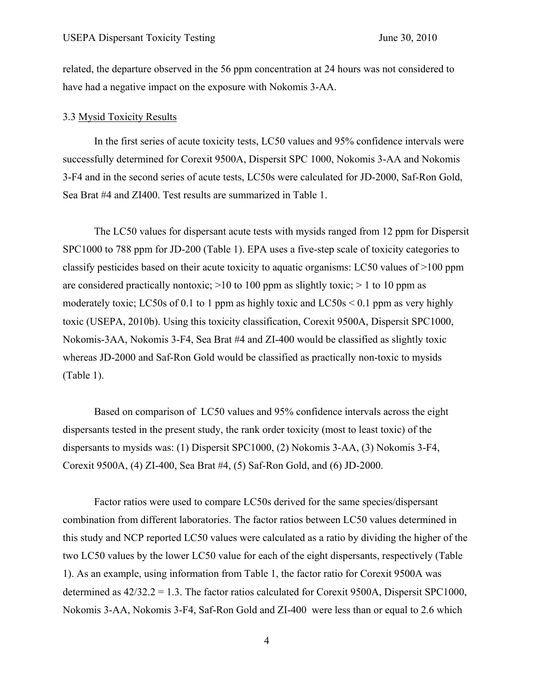related, the departure observed in the 56 ppm concentration at 24 hours was not considered to have had a negative impact on the exposure with Nokomis 3-AA.

#### 3.3 Mysid Toxicity Results

In the first series of acute toxicity tests, LC50 values and 95% confidence intervals were successfully determined for Corexit 9500A, Dispersit SPC 1000, Nokomis 3-AA and Nokomis 3-F4 and in the second series of acute tests, LC50s were calculated for JD-2000, Saf-Ron Gold, Sea Brat #4 and ZI400. Test results are summarized in Table 1.

The LC50 values for dispersant acute tests with mysids ranged from 12 ppm for Dispersit SPC1000 to 788 ppm for JD-200 (Table 1). EPA uses a five-step scale of toxicity categories to classify pesticides based on their acute toxicity to aquatic organisms: LC50 values of >100 ppm are considered practically nontoxic;  $>10$  to 100 ppm as slightly toxic;  $> 1$  to 10 ppm as moderately toxic; LC50s of 0.1 to 1 ppm as highly toxic and LC50s  $\leq$  0.1 ppm as very highly toxic (USEPA, 2010b). Using this toxicity classification, Corexit 9500A, Dispersit SPC1000, Nokomis-3AA, Nokomis 3-F4, Sea Brat #4 and ZI-400 would be classified as slightly toxic whereas JD-2000 and Saf-Ron Gold would be classified as practically non-toxic to mysids (Table 1).

Based on comparison of LC50 values and 95% confidence intervals across the eight dispersants tested in the present study, the rank order toxicity (most to least toxic) of the dispersants to mysids was: (1) Dispersit SPC1000, (2) Nokomis 3-AA, (3) Nokomis 3-F4, Corexit 9500A, (4) ZI-400, Sea Brat #4, (5) Saf-Ron Gold, and (6) JD-2000.

Factor ratios were used to compare LC50s derived for the same species/dispersant combination from different laboratories. The factor ratios between LC50 values determined in this study and NCP reported LC50 values were calculated as a ratio by dividing the higher of the two LC50 values by the lower LC50 value for each of the eight dispersants, respectively (Table 1). As an example, using information from Table 1, the factor ratio for Corexit 9500A was determined as 42/32.2 = 1.3. The factor ratios calculated for Corexit 9500A, Dispersit SPC1000, Nokomis 3-AA, Nokomis 3-F4, Saf-Ron Gold and ZI-400 were less than or equal to 2.6 which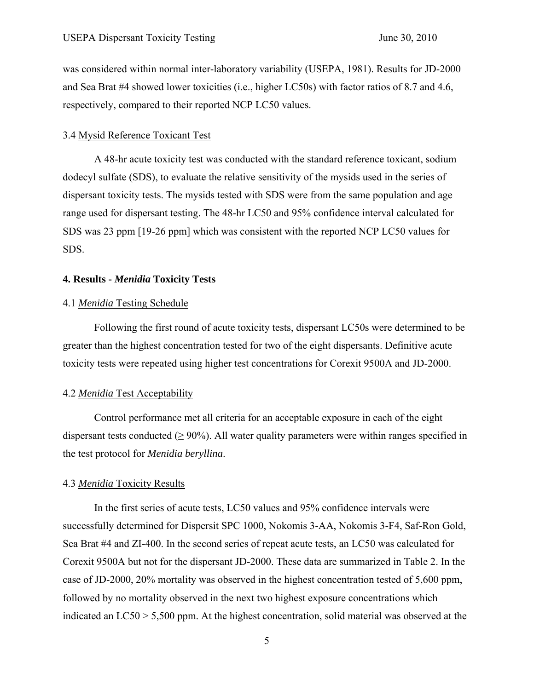was considered within normal inter-laboratory variability (USEPA, 1981). Results for JD-2000 and Sea Brat #4 showed lower toxicities (i.e., higher LC50s) with factor ratios of 8.7 and 4.6, respectively, compared to their reported NCP LC50 values.

## 3.4 Mysid Reference Toxicant Test

A 48-hr acute toxicity test was conducted with the standard reference toxicant, sodium dodecyl sulfate (SDS), to evaluate the relative sensitivity of the mysids used in the series of dispersant toxicity tests. The mysids tested with SDS were from the same population and age range used for dispersant testing. The 48-hr LC50 and 95% confidence interval calculated for SDS was 23 ppm [19-26 ppm] which was consistent with the reported NCP LC50 values for SDS.

### **4. Results -** *Menidia* **Toxicity Tests**

## 4.1 *Menidia* Testing Schedule

Following the first round of acute toxicity tests, dispersant LC50s were determined to be greater than the highest concentration tested for two of the eight dispersants. Definitive acute toxicity tests were repeated using higher test concentrations for Corexit 9500A and JD-2000.

## 4.2 *Menidia* Test Acceptability

Control performance met all criteria for an acceptable exposure in each of the eight dispersant tests conducted ( $\geq$  90%). All water quality parameters were within ranges specified in the test protocol for *Menidia beryllina*.

#### 4.3 *Menidia* Toxicity Results

In the first series of acute tests, LC50 values and 95% confidence intervals were successfully determined for Dispersit SPC 1000, Nokomis 3-AA, Nokomis 3-F4, Saf-Ron Gold, Sea Brat #4 and ZI-400. In the second series of repeat acute tests, an LC50 was calculated for Corexit 9500A but not for the dispersant JD-2000. These data are summarized in Table 2. In the case of JD-2000, 20% mortality was observed in the highest concentration tested of 5,600 ppm, followed by no mortality observed in the next two highest exposure concentrations which indicated an LC50 > 5,500 ppm. At the highest concentration, solid material was observed at the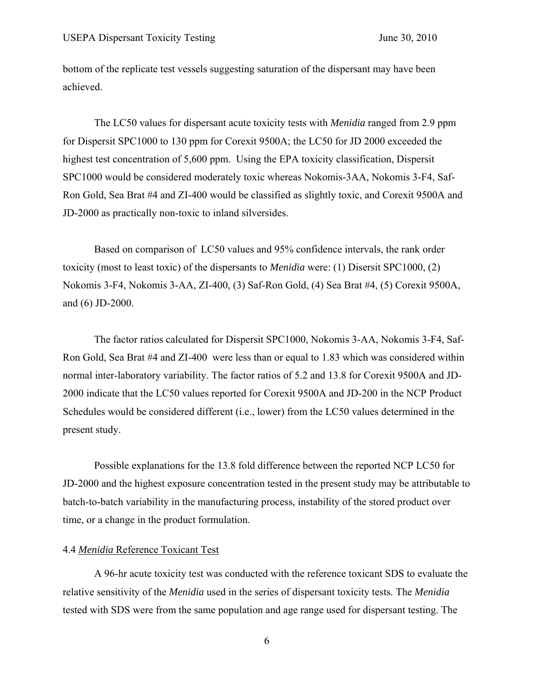bottom of the replicate test vessels suggesting saturation of the dispersant may have been achieved.

The LC50 values for dispersant acute toxicity tests with *Menidia* ranged from 2.9 ppm for Dispersit SPC1000 to 130 ppm for Corexit 9500A; the LC50 for JD 2000 exceeded the highest test concentration of 5,600 ppm. Using the EPA toxicity classification, Dispersit SPC1000 would be considered moderately toxic whereas Nokomis-3AA, Nokomis 3-F4, Saf-Ron Gold, Sea Brat #4 and ZI-400 would be classified as slightly toxic, and Corexit 9500A and JD-2000 as practically non-toxic to inland silversides.

Based on comparison of LC50 values and 95% confidence intervals, the rank order toxicity (most to least toxic) of the dispersants to *Menidia* were: (1) Disersit SPC1000, (2) Nokomis 3-F4, Nokomis 3-AA, ZI-400, (3) Saf-Ron Gold, (4) Sea Brat #4, (5) Corexit 9500A, and (6) JD-2000.

The factor ratios calculated for Dispersit SPC1000, Nokomis 3-AA, Nokomis 3-F4, Saf-Ron Gold, Sea Brat #4 and ZI-400 were less than or equal to 1.83 which was considered within normal inter-laboratory variability. The factor ratios of 5.2 and 13.8 for Corexit 9500A and JD-2000 indicate that the LC50 values reported for Corexit 9500A and JD-200 in the NCP Product Schedules would be considered different (i.e., lower) from the LC50 values determined in the present study.

Possible explanations for the 13.8 fold difference between the reported NCP LC50 for JD-2000 and the highest exposure concentration tested in the present study may be attributable to batch-to-batch variability in the manufacturing process, instability of the stored product over time, or a change in the product formulation.

# 4.4 *Menidia* Reference Toxicant Test

A 96-hr acute toxicity test was conducted with the reference toxicant SDS to evaluate the relative sensitivity of the *Menidia* used in the series of dispersant toxicity tests. The *Menidia* tested with SDS were from the same population and age range used for dispersant testing. The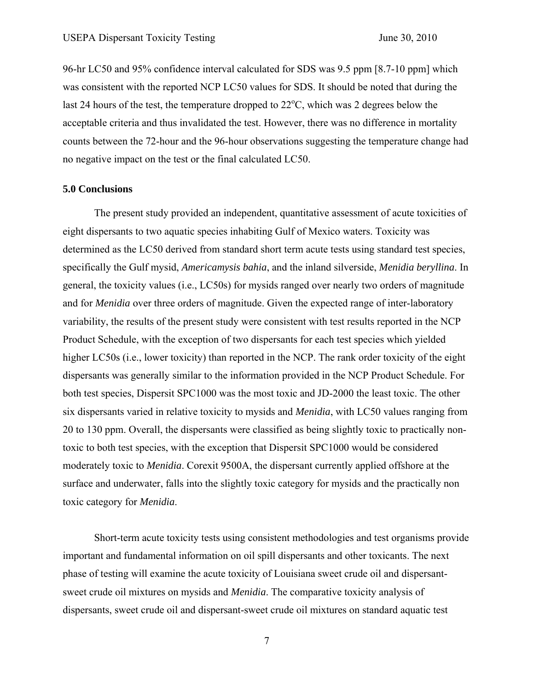96-hr LC50 and 95% confidence interval calculated for SDS was 9.5 ppm [8.7-10 ppm] which was consistent with the reported NCP LC50 values for SDS. It should be noted that during the last 24 hours of the test, the temperature dropped to  $22^{\circ}$ C, which was 2 degrees below the acceptable criteria and thus invalidated the test. However, there was no difference in mortality counts between the 72-hour and the 96-hour observations suggesting the temperature change had no negative impact on the test or the final calculated LC50.

#### **5.0 Conclusions**

The present study provided an independent, quantitative assessment of acute toxicities of eight dispersants to two aquatic species inhabiting Gulf of Mexico waters. Toxicity was determined as the LC50 derived from standard short term acute tests using standard test species, specifically the Gulf mysid, *Americamysis bahia*, and the inland silverside, *Menidia beryllina*. In general, the toxicity values (i.e., LC50s) for mysids ranged over nearly two orders of magnitude and for *Menidia* over three orders of magnitude. Given the expected range of inter-laboratory variability, the results of the present study were consistent with test results reported in the NCP Product Schedule, with the exception of two dispersants for each test species which yielded higher LC50s (i.e., lower toxicity) than reported in the NCP. The rank order toxicity of the eight dispersants was generally similar to the information provided in the NCP Product Schedule. For both test species, Dispersit SPC1000 was the most toxic and JD-2000 the least toxic. The other six dispersants varied in relative toxicity to mysids and *Menidia*, with LC50 values ranging from 20 to 130 ppm. Overall, the dispersants were classified as being slightly toxic to practically nontoxic to both test species, with the exception that Dispersit SPC1000 would be considered moderately toxic to *Menidia*. Corexit 9500A, the dispersant currently applied offshore at the surface and underwater, falls into the slightly toxic category for mysids and the practically non toxic category for *Menidia*.

Short-term acute toxicity tests using consistent methodologies and test organisms provide important and fundamental information on oil spill dispersants and other toxicants. The next phase of testing will examine the acute toxicity of Louisiana sweet crude oil and dispersantsweet crude oil mixtures on mysids and *Menidia*. The comparative toxicity analysis of dispersants, sweet crude oil and dispersant-sweet crude oil mixtures on standard aquatic test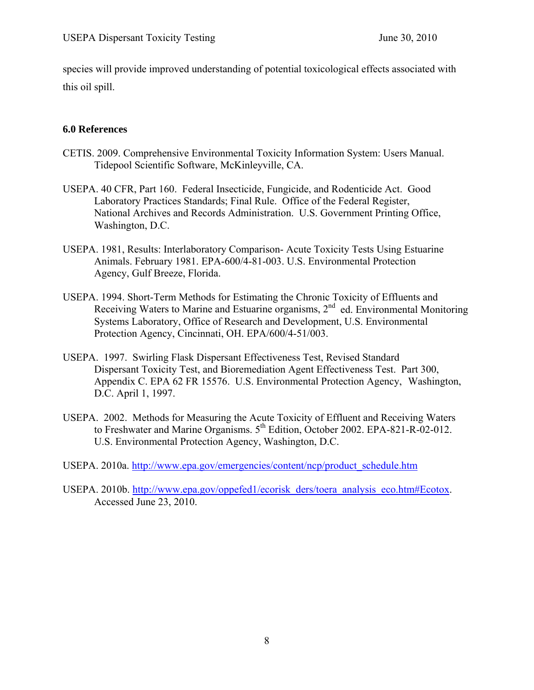species will provide improved understanding of potential toxicological effects associated with this oil spill.

# **6.0 References**

- CETIS. 2009. Comprehensive Environmental Toxicity Information System: Users Manual. Tidepool Scientific Software, McKinleyville, CA.
- USEPA. 40 CFR, Part 160. Federal Insecticide, Fungicide, and Rodenticide Act. Good Laboratory Practices Standards; Final Rule. Office of the Federal Register, National Archives and Records Administration. U.S. Government Printing Office, Washington, D.C.
- USEPA. 1981, Results: Interlaboratory Comparison- Acute Toxicity Tests Using Estuarine Animals. February 1981. EPA-600/4-81-003. U.S. Environmental Protection Agency, Gulf Breeze, Florida.
- USEPA. 1994. Short-Term Methods for Estimating the Chronic Toxicity of Effluents and Receiving Waters to Marine and Estuarine organisms, 2<sup>nd</sup> ed. Environmental Monitoring Systems Laboratory, Office of Research and Development, U.S. Environmental Protection Agency, Cincinnati, OH. EPA/600/4-51/003.
- USEPA. 1997. Swirling Flask Dispersant Effectiveness Test, Revised Standard Dispersant Toxicity Test, and Bioremediation Agent Effectiveness Test. Part 300, Appendix C. EPA 62 FR 15576. U.S. Environmental Protection Agency, Washington, D.C. April 1, 1997.
- USEPA. 2002. Methods for Measuring the Acute Toxicity of Effluent and Receiving Waters to Freshwater and Marine Organisms. 5<sup>th</sup> Edition, October 2002. EPA-821-R-02-012. U.S. Environmental Protection Agency, Washington, D.C.
- USEPA. 2010a. http://www.epa.gov/emergencies/content/ncp/product\_schedule.htm
- USEPA. 2010b. http://www.epa.gov/oppefed1/ecorisk\_ders/toera\_analysis\_eco.htm#Ecotox. Accessed June 23, 2010.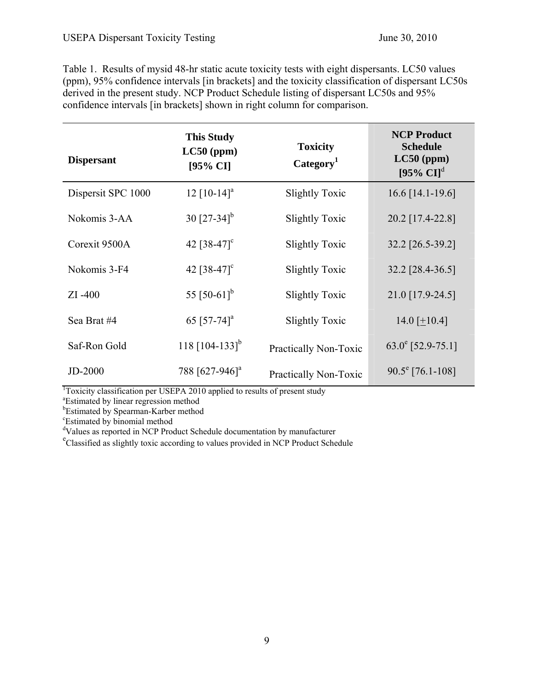Table 1. Results of mysid 48-hr static acute toxicity tests with eight dispersants. LC50 values (ppm), 95% confidence intervals [in brackets] and the toxicity classification of dispersant LC50s derived in the present study. NCP Product Schedule listing of dispersant LC50s and 95% confidence intervals [in brackets] shown in right column for comparison.

| <b>Dispersant</b>  | <b>This Study</b><br>$LC50$ (ppm)<br>[95% CI] | <b>Toxicity</b><br>Category <sup>1</sup> | <b>NCP Product</b><br><b>Schedule</b><br>$LC50$ (ppm)<br>$[95\% \text{ CI}]^d$ |
|--------------------|-----------------------------------------------|------------------------------------------|--------------------------------------------------------------------------------|
| Dispersit SPC 1000 | $12$ [10-14] <sup>a</sup>                     | Slightly Toxic                           | $16.6$ [14.1-19.6]                                                             |
| Nokomis 3-AA       | 30 $[27-34]$ <sup>b</sup>                     | <b>Slightly Toxic</b>                    | 20.2 [17.4-22.8]                                                               |
| Corexit 9500A      | 42 $[38-47]$ <sup>c</sup>                     | Slightly Toxic                           | 32.2 [26.5-39.2]                                                               |
| Nokomis 3-F4       | 42 $[38-47]$ <sup>c</sup>                     | <b>Slightly Toxic</b>                    | 32.2 [28.4-36.5]                                                               |
| $ZI - 400$         | 55 $[50-61]$ <sup>b</sup>                     | <b>Slightly Toxic</b>                    | 21.0 [17.9-24.5]                                                               |
| Sea Brat #4        | 65 [57-74] <sup>a</sup>                       | <b>Slightly Toxic</b>                    | 14.0 $[+10.4]$                                                                 |
| Saf-Ron Gold       | 118 $[104-133]$ <sup>b</sup>                  | Practically Non-Toxic                    | $63.0^{\circ}$ [52.9-75.1]                                                     |
| <b>JD-2000</b>     | 788 [627-946] <sup>a</sup>                    | Practically Non-Toxic                    | $90.5^{\circ}$ [76.1-108]                                                      |

 $\frac{1}{2}$ Toxicity classification per USEPA 2010 applied to results of present study  $\frac{1}{2}$ Estimated by linear regression mathod

Estimated by linear regression method

b Estimated by Spearman-Karber method

c Estimated by binomial method

<sup>d</sup>Values as reported in NCP Product Schedule documentation by manufacturer

<sup>e</sup>Classified as slightly toxic according to values provided in NCP Product Schedule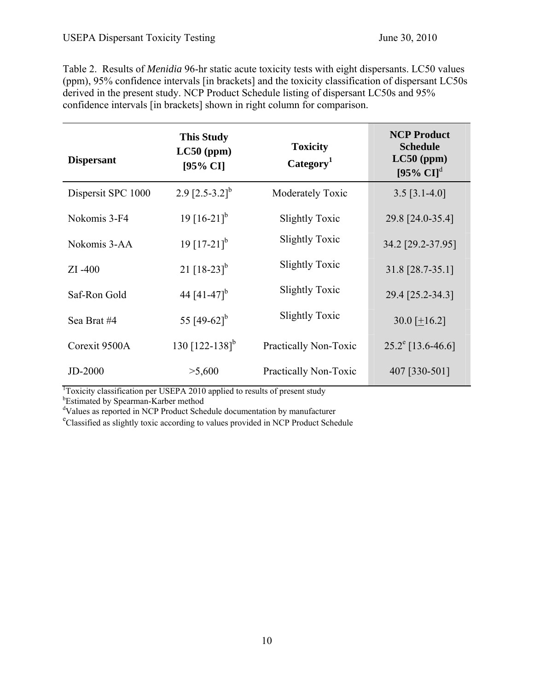Table 2. Results of *Menidia* 96-hr static acute toxicity tests with eight dispersants. LC50 values (ppm), 95% confidence intervals [in brackets] and the toxicity classification of dispersant LC50s derived in the present study. NCP Product Schedule listing of dispersant LC50s and 95% confidence intervals [in brackets] shown in right column for comparison.

| <b>Dispersant</b>  | <b>This Study</b><br>$LC50$ (ppm)<br>[95% CI] | <b>Toxicity</b><br>Category <sup>1</sup> | <b>NCP Product</b><br><b>Schedule</b><br>$LC50$ (ppm)<br>$[95\% \text{ CI}]^d$ |
|--------------------|-----------------------------------------------|------------------------------------------|--------------------------------------------------------------------------------|
| Dispersit SPC 1000 | 2.9 $[2.5-3.2]$ <sup>b</sup>                  | Moderately Toxic                         | $3.5$ [ $3.1-4.0$ ]                                                            |
| Nokomis 3-F4       | 19 $[16-21]$ <sup>b</sup>                     | <b>Slightly Toxic</b>                    | 29.8 [24.0-35.4]                                                               |
| Nokomis 3-AA       | 19 $[17-21]$ <sup>b</sup>                     | Slightly Toxic                           | 34.2 [29.2-37.95]                                                              |
| $ZI - 400$         | 21 $[18-23]$ <sup>b</sup>                     | <b>Slightly Toxic</b>                    | 31.8 [28.7-35.1]                                                               |
| Saf-Ron Gold       | 44 $[41-47]$ <sup>b</sup>                     | <b>Slightly Toxic</b>                    | 29.4 [25.2-34.3]                                                               |
| Sea Brat #4        | 55 [49-62] <sup>b</sup>                       | <b>Slightly Toxic</b>                    | $30.0$ [+16.2]                                                                 |
| Corexit 9500A      | 130 $[122 - 138]$ <sup>b</sup>                | Practically Non-Toxic                    | $25.2^e$ [13.6-46.6]                                                           |
| $JD-2000$          | >5,600                                        | Practically Non-Toxic                    | 407 [330-501]                                                                  |

<sup>1</sup>Toxicity classification per USEPA 2010 applied to results of present study

b Estimated by Spearman-Karber method

d Values as reported in NCP Product Schedule documentation by manufacturer

<sup>e</sup>Classified as slightly toxic according to values provided in NCP Product Schedule